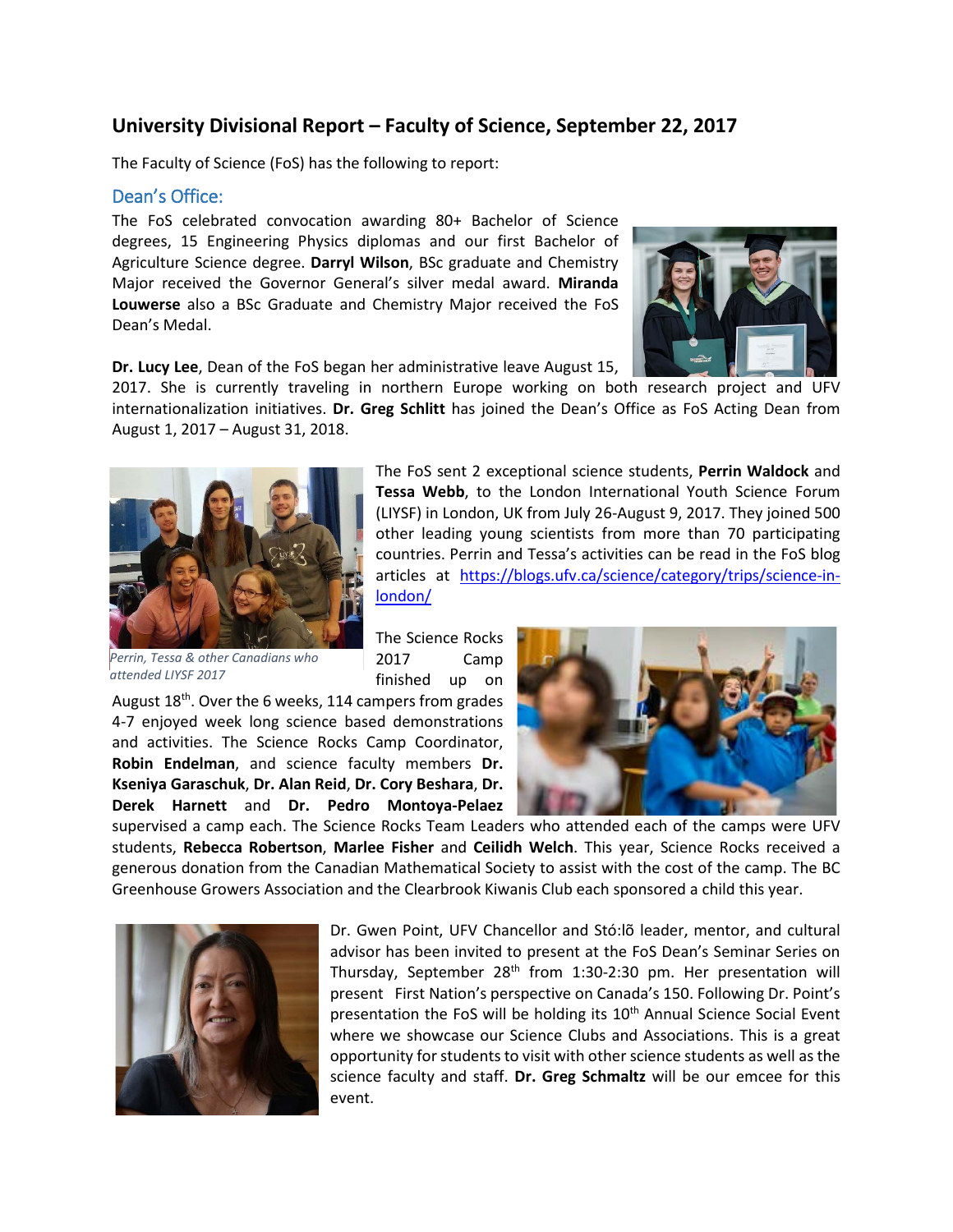# **University Divisional Report – Faculty of Science, September 22, 2017**

The Faculty of Science (FoS) has the following to report:

#### Dean's Office:

The FoS celebrated convocation awarding 80+ Bachelor of Science degrees, 15 Engineering Physics diplomas and our first Bachelor of Agriculture Science degree. **Darryl Wilson**, BSc graduate and Chemistry Major received the Governor General's silver medal award. **Miranda Louwerse** also a BSc Graduate and Chemistry Major received the FoS Dean's Medal.



**Dr. Lucy Lee**, Dean of the FoS began her administrative leave August 15,

2017. She is currently traveling in northern Europe working on both research project and UFV internationalization initiatives. **Dr. Greg Schlitt** has joined the Dean's Office as FoS Acting Dean from August 1, 2017 – August 31, 2018.



*Perrin, Tessa & other Canadians who attended LIYSF 2017*

The FoS sent 2 exceptional science students, **Perrin Waldock** and **Tessa Webb**, to the London International Youth Science Forum (LIYSF) in London, UK from July 26-August 9, 2017. They joined 500 other leading young scientists from more than 70 participating countries. Perrin and Tessa's activities can be read in the FoS blog articles at [https://blogs.ufv.ca/science/category/trips/science-in](https://blogs.ufv.ca/science/category/trips/science-in-london/)[london/](https://blogs.ufv.ca/science/category/trips/science-in-london/)

The Science Rocks 2017 Camp finished up on

August 18<sup>th</sup>. Over the 6 weeks, 114 campers from grades 4-7 enjoyed week long science based demonstrations and activities. The Science Rocks Camp Coordinator, **Robin Endelman**, and science faculty members **Dr. Kseniya Garaschuk**, **Dr. Alan Reid**, **Dr. Cory Beshara**, **Dr. Derek Harnett** and **Dr. Pedro Montoya-Pelaez**



supervised a camp each. The Science Rocks Team Leaders who attended each of the camps were UFV students, **Rebecca Robertson**, **Marlee Fisher** and **Ceilidh Welch**. This year, Science Rocks received a generous donation from the Canadian Mathematical Society to assist with the cost of the camp. The BC Greenhouse Growers Association and the Clearbrook Kiwanis Club each sponsored a child this year.



Dr. Gwen Point, UFV Chancellor and Stó:lõ leader, mentor, and cultural advisor has been invited to present at the FoS Dean's Seminar Series on Thursday, September  $28<sup>th</sup>$  from 1:30-2:30 pm. Her presentation will present First Nation's perspective on Canada's 150. Following Dr. Point's presentation the FoS will be holding its 10<sup>th</sup> Annual Science Social Event where we showcase our Science Clubs and Associations. This is a great opportunity for students to visit with other science students as well as the science faculty and staff. **Dr. Greg Schmaltz** will be our emcee for this event.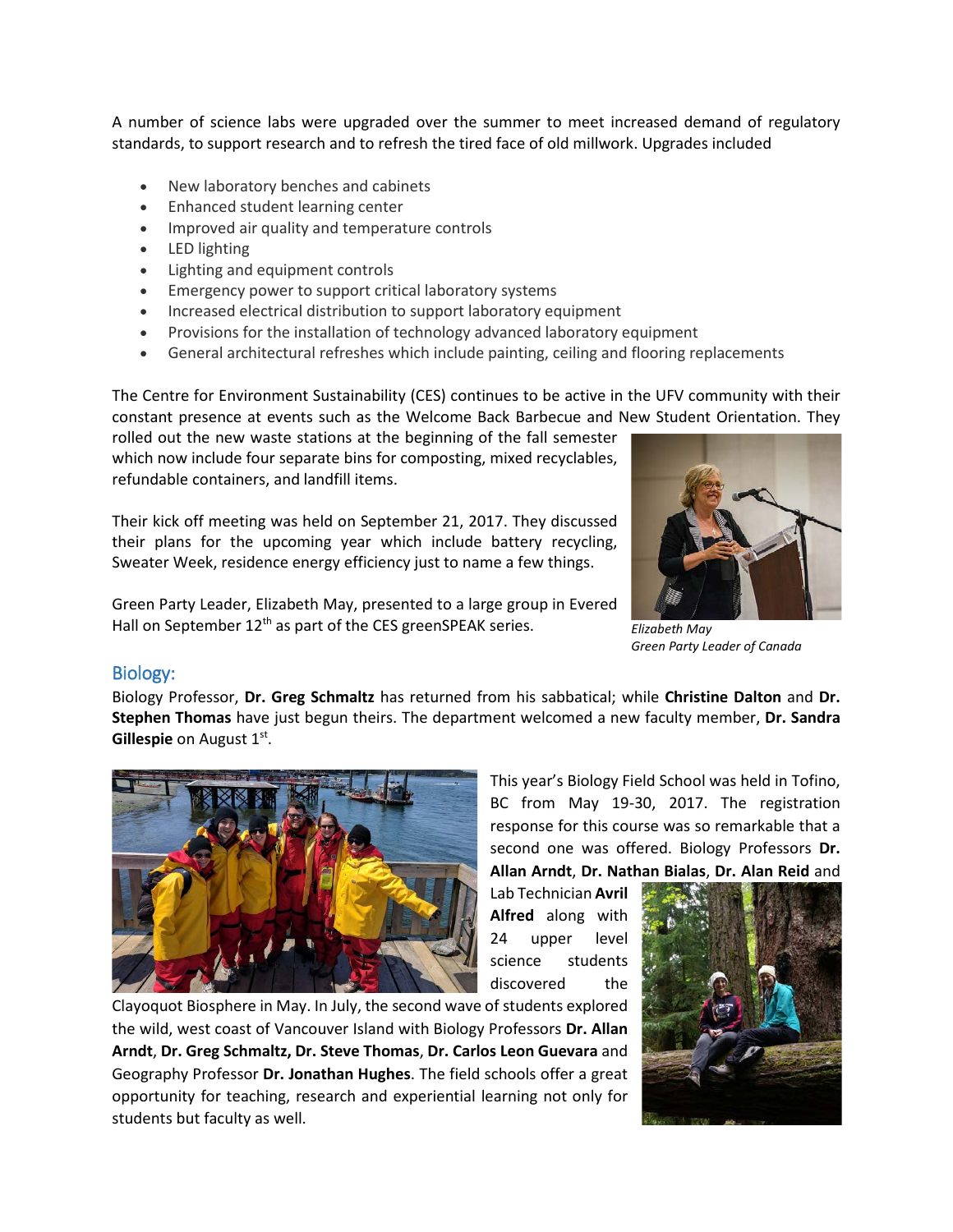A number of science labs were upgraded over the summer to meet increased demand of regulatory standards, to support research and to refresh the tired face of old millwork. Upgrades included

- New laboratory benches and cabinets
- Enhanced student learning center
- Improved air quality and temperature controls
- LED lighting
- Lighting and equipment controls
- Emergency power to support critical laboratory systems
- Increased electrical distribution to support laboratory equipment
- Provisions for the installation of technology advanced laboratory equipment
- General architectural refreshes which include painting, ceiling and flooring replacements

The Centre for Environment Sustainability (CES) continues to be active in the UFV community with their constant presence at events such as the Welcome Back Barbecue and New Student Orientation. They

rolled out the new waste stations at the beginning of the fall semester which now include four separate bins for composting, mixed recyclables, refundable containers, and landfill items.

Their kick off meeting was held on September 21, 2017. They discussed their plans for the upcoming year which include battery recycling, Sweater Week, residence energy efficiency just to name a few things.

Green Party Leader, Elizabeth May, presented to a large group in Evered Hall on September 12<sup>th</sup> as part of the CES greenSPEAK series.



*Elizabeth May Green Party Leader of Canada*

#### Biology:

Biology Professor, **Dr. Greg Schmaltz** has returned from his sabbatical; while **Christine Dalton** and **Dr. Stephen Thomas** have just begun theirs. The department welcomed a new faculty member, **Dr. Sandra Gillespie** on August 1<sup>st</sup>.



This year's Biology Field School was held in Tofino, BC from May 19-30, 2017. The registration response for this course was so remarkable that a second one was offered. Biology Professors **Dr. Allan Arndt**, **Dr. Nathan Bialas**, **Dr. Alan Reid** and

Lab Technician **Avril Alfred** along with 24 upper level science students discovered the

Clayoquot Biosphere in May. In July, the second wave of students explored the wild, west coast of Vancouver Island with Biology Professors **Dr. Allan Arndt**, **Dr. Greg Schmaltz, Dr. Steve Thomas**, **Dr. Carlos Leon Guevara** and Geography Professor **Dr. Jonathan Hughes**. The field schools offer a great opportunity for teaching, research and experiential learning not only for students but faculty as well.